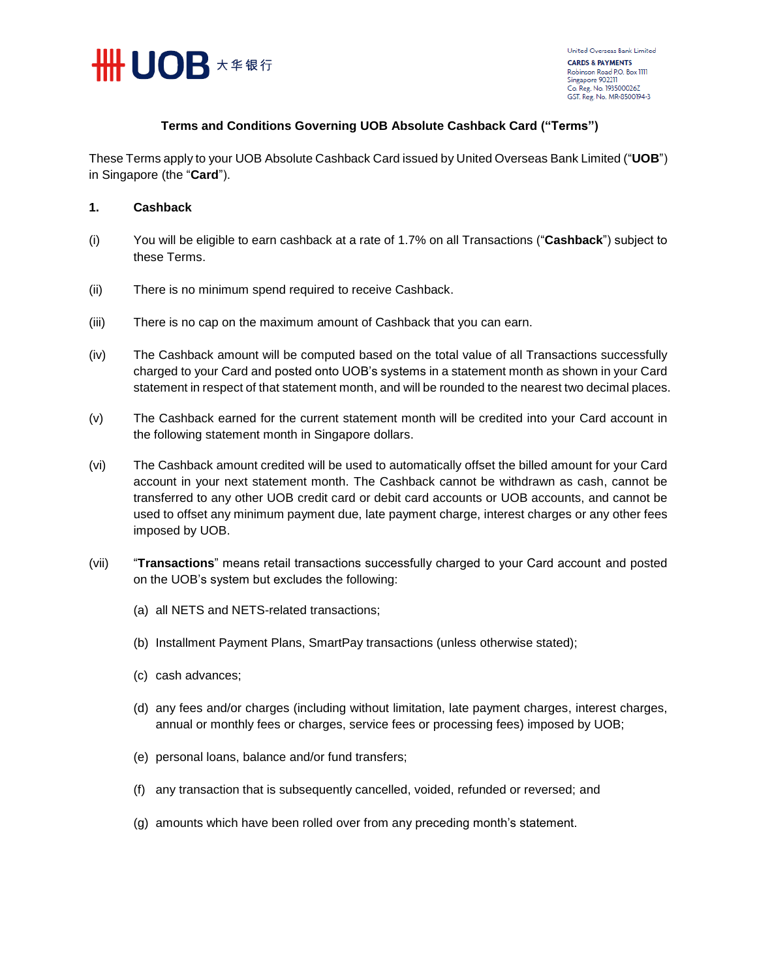

## **Terms and Conditions Governing UOB Absolute Cashback Card ("Terms")**

These Terms apply to your UOB Absolute Cashback Card issued by United Overseas Bank Limited ("**UOB**") in Singapore (the "**Card**").

## **1. Cashback**

- (i) You will be eligible to earn cashback at a rate of 1.7% on all Transactions ("**Cashback**") subject to these Terms.
- (ii) There is no minimum spend required to receive Cashback.
- (iii) There is no cap on the maximum amount of Cashback that you can earn.
- (iv) The Cashback amount will be computed based on the total value of all Transactions successfully charged to your Card and posted onto UOB's systems in a statement month as shown in your Card statement in respect of that statement month, and will be rounded to the nearest two decimal places.
- (v) The Cashback earned for the current statement month will be credited into your Card account in the following statement month in Singapore dollars.
- (vi) The Cashback amount credited will be used to automatically offset the billed amount for your Card account in your next statement month. The Cashback cannot be withdrawn as cash, cannot be transferred to any other UOB credit card or debit card accounts or UOB accounts, and cannot be used to offset any minimum payment due, late payment charge, interest charges or any other fees imposed by UOB.
- (vii) "**Transactions**" means retail transactions successfully charged to your Card account and posted on the UOB's system but excludes the following:
	- (a) all NETS and NETS-related transactions;
	- (b) Installment Payment Plans, SmartPay transactions (unless otherwise stated);
	- (c) cash advances;
	- (d) any fees and/or charges (including without limitation, late payment charges, interest charges, annual or monthly fees or charges, service fees or processing fees) imposed by UOB;
	- (e) personal loans, balance and/or fund transfers;
	- (f) any transaction that is subsequently cancelled, voided, refunded or reversed; and
	- (g) amounts which have been rolled over from any preceding month's statement.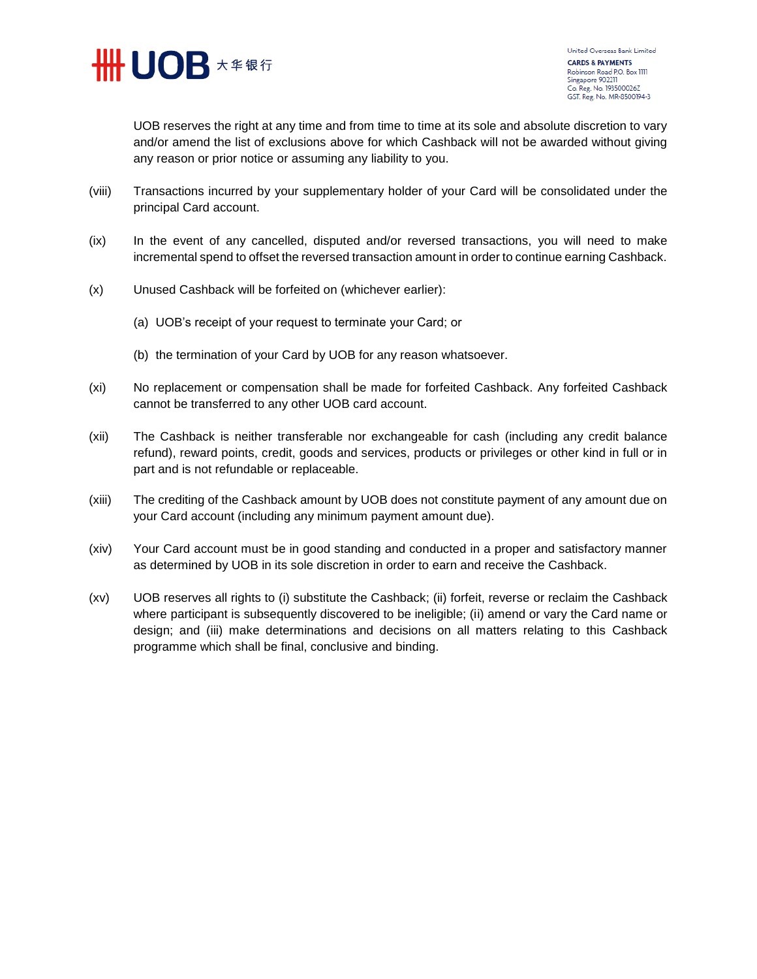

United Overseas Bank Limited **CARDS & PAYMENTS** Robinson Road P.O. Box 1111 Singapore 902211 Co. Reg. No. 193500026Z GST. Reg. No. MR-8500194-3

UOB reserves the right at any time and from time to time at its sole and absolute discretion to vary and/or amend the list of exclusions above for which Cashback will not be awarded without giving any reason or prior notice or assuming any liability to you.

- (viii) Transactions incurred by your supplementary holder of your Card will be consolidated under the principal Card account.
- (ix) In the event of any cancelled, disputed and/or reversed transactions, you will need to make incremental spend to offset the reversed transaction amount in order to continue earning Cashback.
- (x) Unused Cashback will be forfeited on (whichever earlier):
	- (a) UOB's receipt of your request to terminate your Card; or
	- (b) the termination of your Card by UOB for any reason whatsoever.
- (xi) No replacement or compensation shall be made for forfeited Cashback. Any forfeited Cashback cannot be transferred to any other UOB card account.
- (xii) The Cashback is neither transferable nor exchangeable for cash (including any credit balance refund), reward points, credit, goods and services, products or privileges or other kind in full or in part and is not refundable or replaceable.
- (xiii) The crediting of the Cashback amount by UOB does not constitute payment of any amount due on your Card account (including any minimum payment amount due).
- (xiv) Your Card account must be in good standing and conducted in a proper and satisfactory manner as determined by UOB in its sole discretion in order to earn and receive the Cashback.
- (xv) UOB reserves all rights to (i) substitute the Cashback; (ii) forfeit, reverse or reclaim the Cashback where participant is subsequently discovered to be ineligible; (ii) amend or vary the Card name or design; and (iii) make determinations and decisions on all matters relating to this Cashback programme which shall be final, conclusive and binding.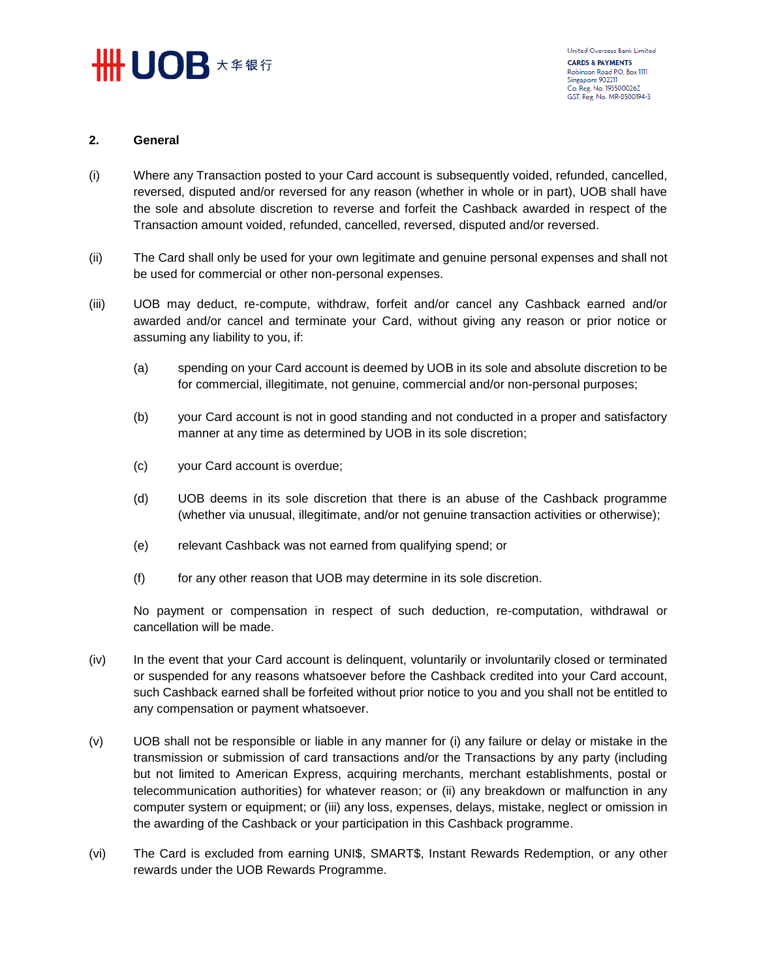

## **2. General**

- (i) Where any Transaction posted to your Card account is subsequently voided, refunded, cancelled, reversed, disputed and/or reversed for any reason (whether in whole or in part), UOB shall have the sole and absolute discretion to reverse and forfeit the Cashback awarded in respect of the Transaction amount voided, refunded, cancelled, reversed, disputed and/or reversed.
- (ii) The Card shall only be used for your own legitimate and genuine personal expenses and shall not be used for commercial or other non-personal expenses.
- (iii) UOB may deduct, re-compute, withdraw, forfeit and/or cancel any Cashback earned and/or awarded and/or cancel and terminate your Card, without giving any reason or prior notice or assuming any liability to you, if:
	- (a) spending on your Card account is deemed by UOB in its sole and absolute discretion to be for commercial, illegitimate, not genuine, commercial and/or non-personal purposes;
	- (b) your Card account is not in good standing and not conducted in a proper and satisfactory manner at any time as determined by UOB in its sole discretion;
	- (c) your Card account is overdue;
	- (d) UOB deems in its sole discretion that there is an abuse of the Cashback programme (whether via unusual, illegitimate, and/or not genuine transaction activities or otherwise);
	- (e) relevant Cashback was not earned from qualifying spend; or
	- (f) for any other reason that UOB may determine in its sole discretion.

No payment or compensation in respect of such deduction, re-computation, withdrawal or cancellation will be made.

- (iv) In the event that your Card account is delinquent, voluntarily or involuntarily closed or terminated or suspended for any reasons whatsoever before the Cashback credited into your Card account, such Cashback earned shall be forfeited without prior notice to you and you shall not be entitled to any compensation or payment whatsoever.
- (v) UOB shall not be responsible or liable in any manner for (i) any failure or delay or mistake in the transmission or submission of card transactions and/or the Transactions by any party (including but not limited to American Express, acquiring merchants, merchant establishments, postal or telecommunication authorities) for whatever reason; or (ii) any breakdown or malfunction in any computer system or equipment; or (iii) any loss, expenses, delays, mistake, neglect or omission in the awarding of the Cashback or your participation in this Cashback programme.
- (vi) The Card is excluded from earning UNI\$, SMART\$, Instant Rewards Redemption, or any other rewards under the UOB Rewards Programme.